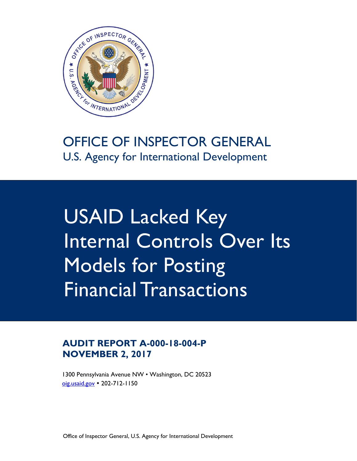

# OFFICE OF INSPECTOR GENERAL U.S. Agency for International Development

USAID Lacked Key Internal Controls Over Its Models for Posting Financial Transactions

### **AUDIT REPORT A-000-18-004-P NOVEMBER 2, 2017**

1300 Pennsylvania Avenue NW • Washington, DC 20523 oig.usaid.gov 202-712-1150

Office of Inspector General, U.S. Agency for International Development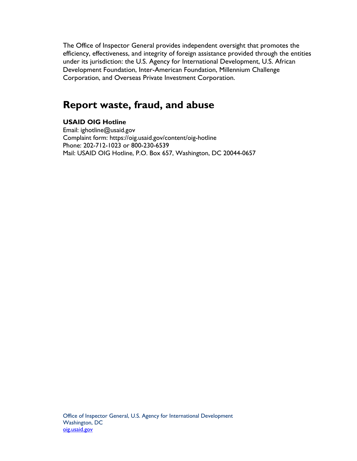The Office of Inspector General provides independent oversight that promotes the efficiency, effectiveness, and integrity of foreign assistance provided through the entities under its jurisdiction: the U.S. Agency for International Development, U.S. African Development Foundation, Inter-American Foundation, Millennium Challenge Corporation, and Overseas Private Investment Corporation.

# **Report waste, fraud, and abuse**

#### **USAID OIG Hotline**

Phone: 202-712-1023 or 800-230-6539 Email: ighotline@usaid.gov Complaint form: https://oig.usaid.gov/content/oig-hotline Mail: USAID OIG Hotline, P.O. Box 657, Washington, DC 20044-0657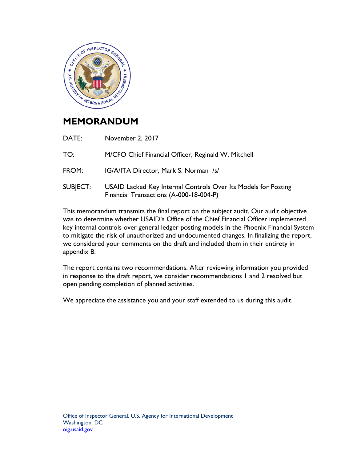

### **MEMORANDUM**

| DATE:    | November 2, 2017                                                                                          |
|----------|-----------------------------------------------------------------------------------------------------------|
| TO:      | M/CFO Chief Financial Officer, Reginald W. Mitchell                                                       |
| FROM:    | IG/A/ITA Director, Mark S. Norman /s/                                                                     |
| SUBJECT: | USAID Lacked Key Internal Controls Over Its Models for Posting<br>Financial Transactions (A-000-18-004-P) |

This memorandum transmits the final report on the subject audit. Our audit objective was to determine whether USAID's Office of the Chief Financial Officer implemented key internal controls over general ledger posting models in the Phoenix Financial System to mitigate the risk of unauthorized and undocumented changes. In finalizing the report, we considered your comments on the draft and included them in their entirety in appendix B.

The report contains two recommendations. After reviewing information you provided in response to the draft report, we consider recommendations 1 and 2 resolved but open pending completion of planned activities.

We appreciate the assistance you and your staff extended to us during this audit.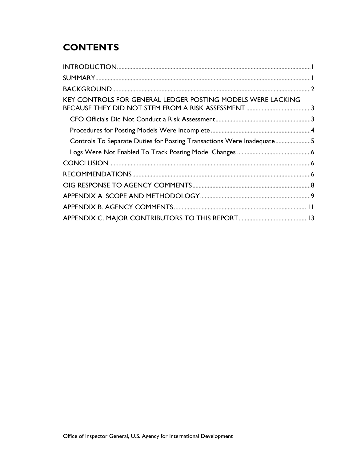# **CONTENTS**

| KEY CONTROLS FOR GENERAL LEDGER POSTING MODELS WERE LACKING           |  |
|-----------------------------------------------------------------------|--|
|                                                                       |  |
|                                                                       |  |
| Controls To Separate Duties for Posting Transactions Were Inadequate5 |  |
|                                                                       |  |
|                                                                       |  |
|                                                                       |  |
|                                                                       |  |
|                                                                       |  |
|                                                                       |  |
|                                                                       |  |
|                                                                       |  |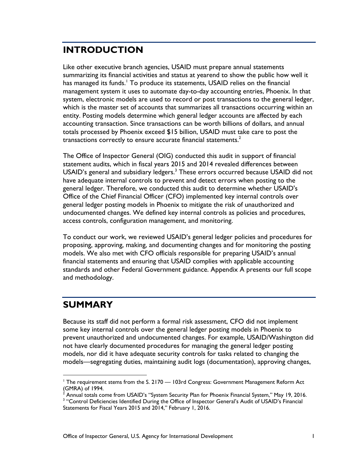### **INTRODUCTION**

transactions correctly to ensure accurate financial statements.<sup>2</sup> Like other executive branch agencies, USAID must prepare annual statements summarizing its financial activities and status at yearend to show the public how well it has managed its funds.<sup>1</sup> To produce its statements, USAID relies on the financial management system it uses to automate day-to-day accounting entries, Phoenix. In that system, electronic models are used to record or post transactions to the general ledger, which is the master set of accounts that summarizes all transactions occurring within an entity. Posting models determine which general ledger accounts are affected by each accounting transaction. Since transactions can be worth billions of dollars, and annual totals processed by Phoenix exceed \$15 billion, USAID must take care to post the

The Office of Inspector General (OIG) conducted this audit in support of financial statement audits, which in fiscal years 2015 and 2014 revealed differences between USAID's general and subsidiary ledgers.<sup>3</sup> These errors occurred because USAID did not have adequate internal controls to prevent and detect errors when posting to the general ledger. Therefore, we conducted this audit to determine whether USAID's Office of the Chief Financial Officer (CFO) implemented key internal controls over general ledger posting models in Phoenix to mitigate the risk of unauthorized and undocumented changes. We defined key internal controls as policies and procedures, access controls, configuration management, and monitoring.

To conduct our work, we reviewed USAID's general ledger policies and procedures for proposing, approving, making, and documenting changes and for monitoring the posting models. We also met with CFO officials responsible for preparing USAID's annual financial statements and ensuring that USAID complies with applicable accounting standards and other Federal Government guidance. Appendix A presents our full scope and methodology.

# **SUMMARY**

 $\overline{a}$ 

Because its staff did not perform a formal risk assessment, CFO did not implement some key internal controls over the general ledger posting models in Phoenix to prevent unauthorized and undocumented changes. For example, USAID/Washington did not have clearly documented procedures for managing the general ledger posting models, nor did it have adequate security controls for tasks related to changing the models—segregating duties, maintaining audit logs (documentation), approving changes,

 $(GMRA)$  of 1994. <sup>1</sup> The requirement stems from the S. 2170 — 103rd Congress: Government Management Reform Act

Annual totals come from USAID's "System Security Plan for Phoenix Financial System," May 19, 2016. 3

<sup>&</sup>lt;sup>3</sup> "Control Deficiencies Identified During the Office of Inspector General's Audit of USAID's Financial Statements for Fiscal Years 2015 and 2014," February 1, 2016.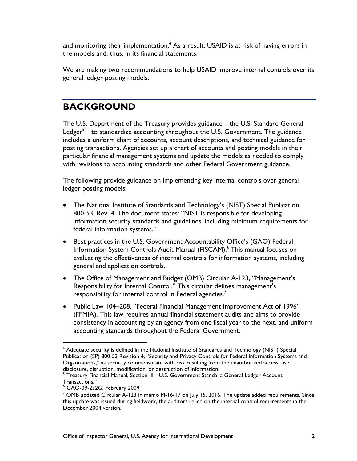and monitoring their implementation. $^4$  As a result, USAID is at risk of having errors in the models and, thus, in its financial statements.

We are making two recommendations to help USAID improve internal controls over its general ledger posting models.

### **BACKGROUND**

The U.S. Department of the Treasury provides guidance—the U.S. Standard General Ledger<sup>5</sup>—to standardize accounting throughout the U.S. Government. The guidance includes a uniform chart of accounts, account descriptions, and technical guidance for posting transactions. Agencies set up a chart of accounts and posting models in their particular financial management systems and update the models as needed to comply with revisions to accounting standards and other Federal Government guidance.

The following provide guidance on implementing key internal controls over general ledger posting models:

- The National Institute of Standards and Technology's (NIST) Special Publication 800-53, Rev. 4. The document states: "NIST is responsible for developing information security standards and guidelines, including minimum requirements for federal information systems."
- Best practices in the U.S. Government Accountability Office's (GAO) Federal Information System Controls Audit Manual (FISCAM).<sup>6</sup> This manual focuses on evaluating the effectiveness of internal controls for information systems, including general and application controls.
- responsibility for internal control in Federal agencies.<sup>7</sup> The Office of Management and Budget (OMB) Circular A-123, "Management's Responsibility for Internal Control." This circular defines management's
- Public Law 104–208, "Federal Financial Management Improvement Act of 1996" (FFMIA). This law requires annual financial statement audits and aims to provide consistency in accounting by an agency from one fiscal year to the next, and uniform accounting standards throughout the Federal Government.

1

<sup>&</sup>lt;sup>4</sup> Adequate security is defined in the National Institute of Standards and Technology (NIST) Special Publication (SP) 800-53 Revision 4, "Security and Privacy Controls for Federal Information Systems and Organizations," as security commensurate with risk resulting from the unauthorized access, use, disclosure, disruption, modification, or destruction of information.<br><sup>5</sup> Treasury Financial Manual, Section III. "U.S. Government Standard

<sup>&</sup>lt;sup>5</sup> Treasury Financial Manual, Section III, "U.S. Government Standard General Ledger Account Transactions."

6 GAO-09-232G, February 2009.

<sup>&</sup>lt;sup>7</sup> OMB updated Circular A-123 in memo M-16-17 on July 15, 2016. The update added requirements. Since this update was issued during fieldwork, the auditors relied on the internal control requirements in the December 2004 version.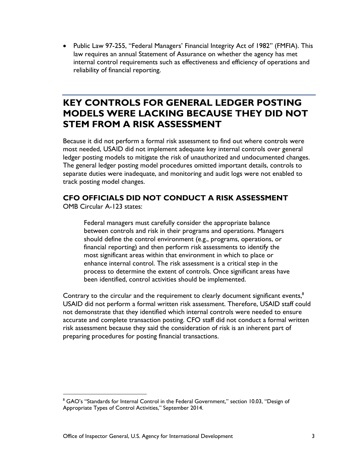Public Law 97-255, "Federal Managers' Financial Integrity Act of 1982" (FMFIA). This law requires an annual Statement of Assurance on whether the agency has met internal control requirements such as effectiveness and efficiency of operations and reliability of financial reporting.

### **KEY CONTROLS FOR GENERAL LEDGER POSTING MODELS WERE LACKING BECAUSE THEY DID NOT STEM FROM A RISK ASSESSMENT**

Because it did not perform a formal risk assessment to find out where controls were most needed, USAID did not implement adequate key internal controls over general ledger posting models to mitigate the risk of unauthorized and undocumented changes. The general ledger posting model procedures omitted important details, controls to separate duties were inadequate, and monitoring and audit logs were not enabled to track posting model changes.

#### **CFO OFFICIALS DID NOT CONDUCT A RISK ASSESSMENT**

OMB Circular A-123 states:

 $\overline{a}$ 

Federal managers must carefully consider the appropriate balance between controls and risk in their programs and operations. Managers should define the control environment (e.g., programs, operations, or financial reporting) and then perform risk assessments to identify the most significant areas within that environment in which to place or enhance internal control. The risk assessment is a critical step in the process to determine the extent of controls. Once significant areas have been identified, control activities should be implemented.

Contrary to the circular and the requirement to clearly document significant events, $8$ USAID did not perform a formal written risk assessment. Therefore, USAID staff could not demonstrate that they identified which internal controls were needed to ensure accurate and complete transaction posting. CFO staff did not conduct a formal written risk assessment because they said the consideration of risk is an inherent part of preparing procedures for posting financial transactions.

<sup>&</sup>lt;sup>8</sup> GAO's "Standards for Internal Control in the Federal Government," section 10.03, "Design of Appropriate Types of Control Activities," September 2014.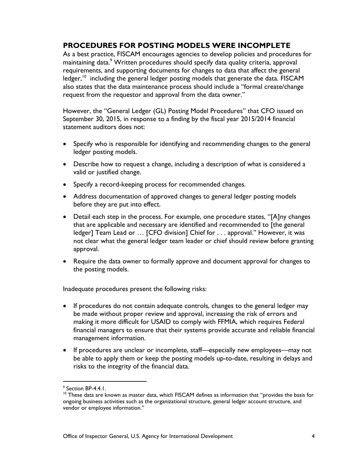#### **PROCEDURES FOR POSTING MODELS WERE INCOMPLETE**

As a best practice, FISCAM encourages agencies to develop policies and procedures for maintaining data.<sup>9</sup> Written procedures should specify data quality criteria, approval requirements, and supporting documents for changes to data that affect the general ledger,<sup>10</sup> including the general ledger posting models that generate the data. FISCAM also states that the data maintenance process should include a "formal create/change request from the requestor and approval from the data owner."

However, the "General Ledger (GL) Posting Model Procedures" that CFO issued on September 30, 2015, in response to a finding by the fiscal year 2015/2014 financial statement auditors does not:

- Specify who is responsible for identifying and recommending changes to the general ledger posting models.
- Describe how to request a change, including a description of what is considered a valid or justified change.
- Specify a record-keeping process for recommended changes.
- Address documentation of approved changes to general ledger posting models before they are put into effect.
- Detail each step in the process. For example, one procedure states, "[A]ny changes that are applicable and necessary are identified and recommended to [the general ledger] Team Lead or … [CFO division] Chief for . . . approval." However, it was not clear what the general ledger team leader or chief should review before granting approval.
- Require the data owner to formally approve and document approval for changes to the posting models.

Inadequate procedures present the following risks:

- If procedures do not contain adequate controls, changes to the general ledger may be made without proper review and approval, increasing the risk of errors and making it more difficult for USAID to comply with FFMIA, which requires Federal financial managers to ensure that their systems provide accurate and reliable financial management information.
- If procedures are unclear or incomplete, staff—especially new employees—may not be able to apply them or keep the posting models up-to-date, resulting in delays and risks to the integrity of the financial data.

 $\overline{a}$ 

<sup>&</sup>lt;sup>9</sup> Section BP-4.4.1.

 $10$  These data are known as master data, which FISCAM defines as information that "provides the basis for ongoing business activities such as the organizational structure, general ledger account structure, and vendor or employee information."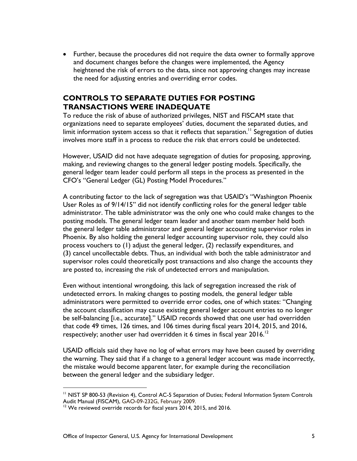Further, because the procedures did not require the data owner to formally approve and document changes before the changes were implemented, the Agency heightened the risk of errors to the data, since not approving changes may increase the need for adjusting entries and overriding error codes.

#### **CONTROLS TO SEPARATE DUTIES FOR POSTING TRANSACTIONS WERE INADEQUATE**

To reduce the risk of abuse of authorized privileges, NIST and FISCAM state that organizations need to separate employees' duties, document the separated duties, and limit information system access so that it reflects that separation.<sup>11</sup> Segregation of duties involves more staff in a process to reduce the risk that errors could be undetected.

However, USAID did not have adequate segregation of duties for proposing, approving, making, and reviewing changes to the general ledger posting models. Specifically, the general ledger team leader could perform all steps in the process as presented in the CFO's "General Ledger (GL) Posting Model Procedures."

A contributing factor to the lack of segregation was that USAID's "Washington Phoenix User Roles as of 9/14/15" did not identify conflicting roles for the general ledger table administrator. The table administrator was the only one who could make changes to the posting models. The general ledger team leader and another team member held both the general ledger table administrator and general ledger accounting supervisor roles in Phoenix. By also holding the general ledger accounting supervisor role, they could also process vouchers to (1) adjust the general ledger, (2) reclassify expenditures, and (3) cancel uncollectable debts. Thus, an individual with both the table administrator and supervisor roles could theoretically post transactions and also change the accounts they are posted to, increasing the risk of undetected errors and manipulation.

Even without intentional wrongdoing, this lack of segregation increased the risk of undetected errors. In making changes to posting models, the general ledger table administrators were permitted to override error codes, one of which states: "Changing the account classification may cause existing general ledger account entries to no longer be self-balancing [i.e., accurate]." USAID records showed that one user had overridden that code 49 times, 126 times, and 106 times during fiscal years 2014, 2015, and 2016, respectively; another user had overridden it 6 times in fiscal year  $2016$ <sup>12</sup>

USAID officials said they have no log of what errors may have been caused by overriding the warning. They said that if a change to a general ledger account was made incorrectly, the mistake would become apparent later, for example during the reconciliation between the general ledger and the subsidiary ledger.

 $\overline{a}$ 

<sup>11</sup> NIST SP 800-53 (Revision 4), Control AC-5 Separation of Duties; Federal Information System Controls Audit Manual (FISCAM), GAO-09-232G, February 2009.

<sup>&</sup>lt;sup>12</sup> We reviewed override records for fiscal years 2014, 2015, and 2016.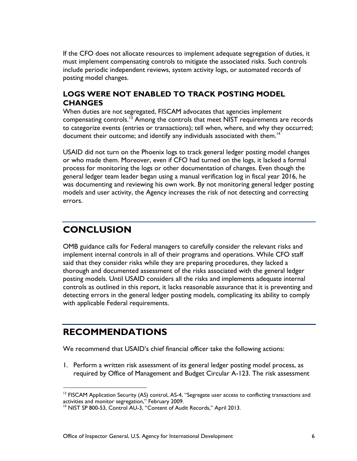If the CFO does not allocate resources to implement adequate segregation of duties, it must implement compensating controls to mitigate the associated risks. Such controls include periodic independent reviews, system activity logs, or automated records of posting model changes.

#### **LOGS WERE NOT ENABLED TO TRACK POSTING MODEL CHANGES**

document their outcome; and identify any individuals associated with them.<sup>14</sup> When duties are not segregated, FISCAM advocates that agencies implement compensating controls.<sup>13</sup> Among the controls that meet NIST requirements are records to categorize events (entries or transactions); tell when, where, and why they occurred;

USAID did not turn on the Phoenix logs to track general ledger posting model changes or who made them. Moreover, even if CFO had turned on the logs, it lacked a formal process for monitoring the logs or other documentation of changes. Even though the general ledger team leader began using a manual verification log in fiscal year 2016, he was documenting and reviewing his own work. By not monitoring general ledger posting models and user activity, the Agency increases the risk of not detecting and correcting errors.

# **CONCLUSION**

OMB guidance calls for Federal managers to carefully consider the relevant risks and implement internal controls in all of their programs and operations. While CFO staff said that they consider risks while they are preparing procedures, they lacked a thorough and documented assessment of the risks associated with the general ledger posting models. Until USAID considers all the risks and implements adequate internal controls as outlined in this report, it lacks reasonable assurance that it is preventing and detecting errors in the general ledger posting models, complicating its ability to comply with applicable Federal requirements.

### **RECOMMENDATIONS**

 $\overline{a}$ 

We recommend that USAID's chief financial officer take the following actions:

1. Perform a written risk assessment of its general ledger posting model process, as required by Office of Management and Budget Circular A-123. The risk assessment

 $13$  FISCAM Application Security (AS) control, AS-4, "Segregate user access to conflicting transactions and activities and monitor segregation," February 2009.

<sup>&</sup>lt;sup>14</sup> NIST SP 800-53, Control AU-3, "Content of Audit Records," April 2013.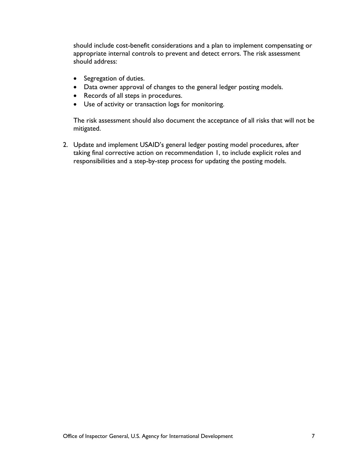should include cost-benefit considerations and a plan to implement compensating or appropriate internal controls to prevent and detect errors. The risk assessment should address:

- Segregation of duties.
- Data owner approval of changes to the general ledger posting models.
- Records of all steps in procedures.
- Use of activity or transaction logs for monitoring.

The risk assessment should also document the acceptance of all risks that will not be mitigated.

2. Update and implement USAID's general ledger posting model procedures, after taking final corrective action on recommendation 1, to include explicit roles and responsibilities and a step-by-step process for updating the posting models.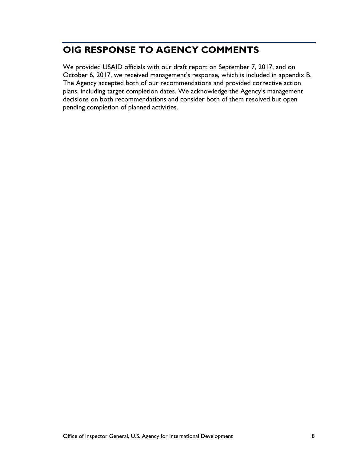# **OIG RESPONSE TO AGENCY COMMENTS**

We provided USAID officials with our draft report on September 7, 2017, and on October 6, 2017, we received management's response, which is included in appendix B. The Agency accepted both of our recommendations and provided corrective action plans, including target completion dates. We acknowledge the Agency's management decisions on both recommendations and consider both of them resolved but open pending completion of planned activities.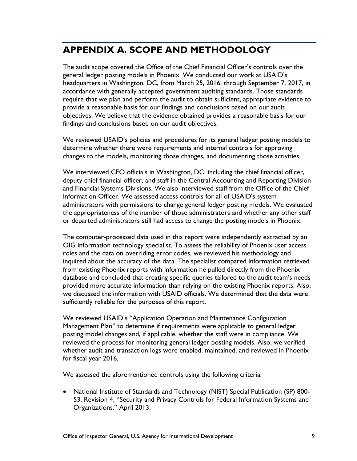# **APPENDIX A. SCOPE AND METHODOLOGY**

The audit scope covered the Office of the Chief Financial Officer's controls over the general ledger posting models in Phoenix. We conducted our work at USAID's headquarters in Washington, DC, from March 25, 2016, through September 7, 2017, in accordance with generally accepted government auditing standards. Those standards require that we plan and perform the audit to obtain sufficient, appropriate evidence to provide a reasonable basis for our findings and conclusions based on our audit objectives. We believe that the evidence obtained provides a reasonable basis for our findings and conclusions based on our audit objectives.

We reviewed USAID's policies and procedures for its general ledger posting models to determine whether there were requirements and internal controls for approving changes to the models, monitoring those changes, and documenting those activities.

We interviewed CFO officials in Washington, DC, including the chief financial officer, deputy chief financial officer, and staff in the Central Accounting and Reporting Division and Financial Systems Divisions. We also interviewed staff from the Office of the Chief Information Officer. We assessed access controls for all of USAID's system administrators with permissions to change general ledger posting models. We evaluated the appropriateness of the number of those administrators and whether any other staff or departed administrators still had access to change the posting models in Phoenix.

The computer-processed data used in this report were independently extracted by an OIG information technology specialist. To assess the reliability of Phoenix user access roles and the data on overriding error codes, we reviewed his methodology and inquired about the accuracy of the data. The specialist compared information retrieved from existing Phoenix reports with information he pulled directly from the Phoenix database and concluded that creating specific queries tailored to the audit team's needs provided more accurate information than relying on the existing Phoenix reports. Also, we discussed the information with USAID officials. We determined that the data were sufficiently reliable for the purposes of this report.

We reviewed USAID's "Application Operation and Maintenance Configuration Management Plan" to determine if requirements were applicable to general ledger posting model changes and, if applicable, whether the staff were in compliance. We reviewed the process for monitoring general ledger posting models. Also, we verified whether audit and transaction logs were enabled, maintained, and reviewed in Phoenix for fiscal year 2016.

We assessed the aforementioned controls using the following criteria:

 National Institute of Standards and Technology (NIST) Special Publication (SP) 800- 53, Revision 4, "Security and Privacy Controls for Federal Information Systems and Organizations," April 2013.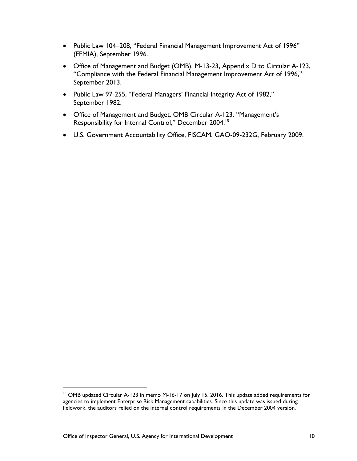- Public Law 104–208, "Federal Financial Management Improvement Act of 1996" (FFMIA), September 1996.
- Office of Management and Budget (OMB), M-13-23, Appendix D to Circular A-123, "Compliance with the Federal Financial Management Improvement Act of 1996," September 2013.
- Public Law 97-255, "Federal Managers' Financial Integrity Act of 1982," September 1982.
- Office of Management and Budget, OMB Circular A-123, "Management's Responsibility for Internal Control," December 2004.<sup>15</sup>
- U.S. Government Accountability Office, FISCAM, GAO-09-232G, February 2009.

 $\overline{a}$ 

<sup>&</sup>lt;sup>15</sup> OMB updated Circular A-123 in memo M-16-17 on July 15, 2016. This update added requirements for agencies to implement Enterprise Risk Management capabilities. Since this update was issued during fieldwork, the auditors relied on the internal control requirements in the December 2004 version.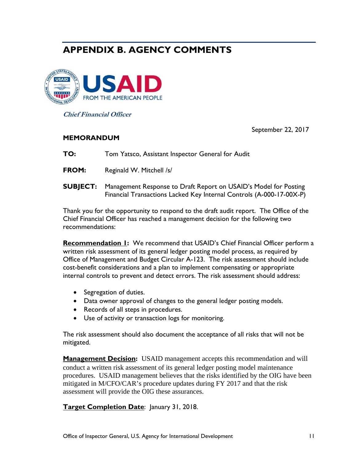# **APPENDIX B. AGENCY COMMENTS**



**Chief Financial Officer** 

September 22, 2017

#### **MEMORANDUM**

**TO:** Tom Yatsco, Assistant Inspector General for Audit

**FROM:** Reginald W. Mitchell /s/

**SUBJECT:** Management Response to Draft Report on USAID's Model for Posting Financial Transactions Lacked Key Internal Controls (A-000-17-00X-P)

Thank you for the opportunity to respond to the draft audit report. The Office of the Chief Financial Officer has reached a management decision for the following two recommendations:

**Recommendation 1:** We recommend that USAID's Chief Financial Officer perform a written risk assessment of its general ledger posting model process, as required by Office of Management and Budget Circular A-123. The risk assessment should include cost-benefit considerations and a plan to implement compensating or appropriate internal controls to prevent and detect errors. The risk assessment should address:

- Segregation of duties.
- Data owner approval of changes to the general ledger posting models.
- Records of all steps in procedures.
- Use of activity or transaction logs for monitoring.

The risk assessment should also document the acceptance of all risks that will not be mitigated.

**Management Decision:** USAID management accepts this recommendation and will conduct a written risk assessment of its general ledger posting model maintenance procedures. USAID management believes that the risks identified by the OIG have been mitigated in M/CFO/CAR's procedure updates during FY 2017 and that the risk assessment will provide the OIG these assurances.

**Target Completion Date**: January 31, 2018.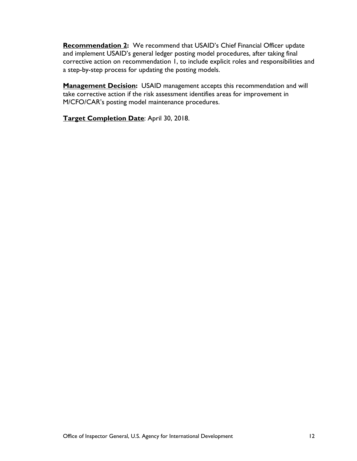**Recommendation 2:** We recommend that USAID's Chief Financial Officer update and implement USAID's general ledger posting model procedures, after taking final corrective action on recommendation 1, to include explicit roles and responsibilities and a step-by-step process for updating the posting models.

**Management Decision:** USAID management accepts this recommendation and will take corrective action if the risk assessment identifies areas for improvement in M/CFO/CAR's posting model maintenance procedures.

**Target Completion Date**: April 30, 2018.